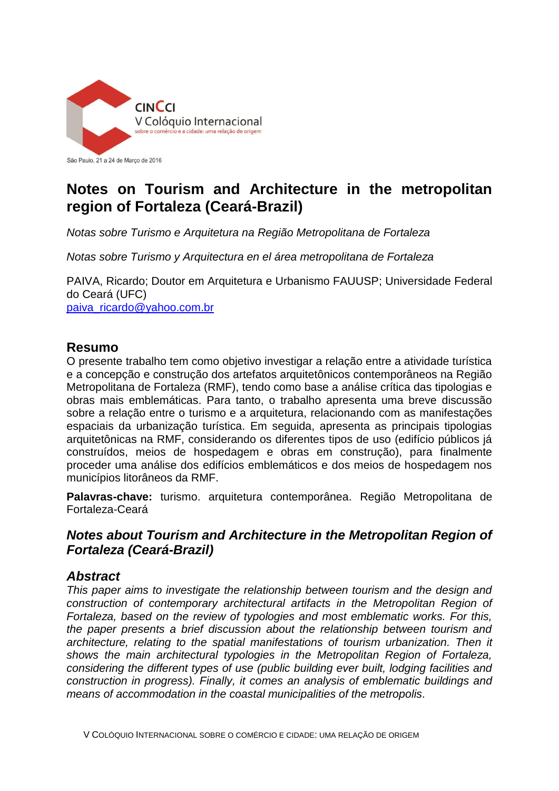

# **Notes on Tourism and Architecture in the metropolitan region of Fortaleza (Ceará-Brazil)**

*Notas sobre Turismo e Arquitetura na Região Metropolitana de Fortaleza* 

*Notas sobre Turismo y Arquitectura en el área metropolitana de Fortaleza*

PAIVA, Ricardo; Doutor em Arquitetura e Urbanismo FAUUSP; Universidade Federal do Ceará (UFC)

[paiva\\_ricardo@yahoo.com.br](mailto:paiva_ricardo@yahoo.com.br)

### **Resumo**

O presente trabalho tem como objetivo investigar a relação entre a atividade turística e a concepção e construção dos artefatos arquitetônicos contemporâneos na Região Metropolitana de Fortaleza (RMF), tendo como base a análise crítica das tipologias e obras mais emblemáticas. Para tanto, o trabalho apresenta uma breve discussão sobre a relação entre o turismo e a arquitetura, relacionando com as manifestações espaciais da urbanização turística. Em seguida, apresenta as principais tipologias arquitetônicas na RMF, considerando os diferentes tipos de uso (edifício públicos já construídos, meios de hospedagem e obras em construção), para finalmente proceder uma análise dos edifícios emblemáticos e dos meios de hospedagem nos municípios litorâneos da RMF.

**Palavras-chave:** turismo. arquitetura contemporânea. Região Metropolitana de Fortaleza-Ceará

## *Notes about Tourism and Architecture in the Metropolitan Region of Fortaleza (Ceará-Brazil)*

### *Abstract*

*This paper aims to investigate the relationship between tourism and the design and construction of contemporary architectural artifacts in the Metropolitan Region of Fortaleza, based on the review of typologies and most emblematic works. For this, the paper presents a brief discussion about the relationship between tourism and architecture, relating to the spatial manifestations of tourism urbanization. Then it shows the main architectural typologies in the Metropolitan Region of Fortaleza, considering the different types of use (public building ever built, lodging facilities and construction in progress). Finally, it comes an analysis of emblematic buildings and means of accommodation in the coastal municipalities of the metropolis.*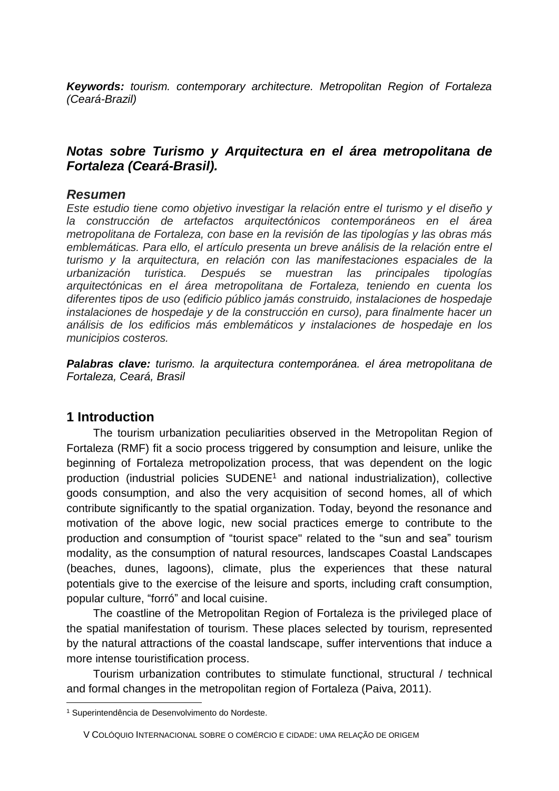*Keywords: tourism. contemporary architecture. Metropolitan Region of Fortaleza (Ceará-Brazil)*

# *Notas sobre Turismo y Arquitectura en el área metropolitana de Fortaleza (Ceará-Brasil).*

#### *Resumen*

*Este estudio tiene como objetivo investigar la relación entre el turismo y el diseño y*  la construcción de artefactos arquitectónicos contemporáneos en el área *metropolitana de Fortaleza, con base en la revisión de las tipologías y las obras más emblemáticas. Para ello, el artículo presenta un breve análisis de la relación entre el turismo y la arquitectura, en relación con las manifestaciones espaciales de la urbanización turistica. Después se muestran las principales tipologías arquitectónicas en el área metropolitana de Fortaleza, teniendo en cuenta los diferentes tipos de uso (edificio público jamás construido, instalaciones de hospedaje instalaciones de hospedaje y de la construcción en curso), para finalmente hacer un análisis de los edificios más emblemáticos y instalaciones de hospedaje en los municipios costeros.*

*Palabras clave: turismo. la arquitectura contemporánea. el área metropolitana de Fortaleza, Ceará, Brasil*

### **1 Introduction**

 $\overline{a}$ 

The tourism urbanization peculiarities observed in the Metropolitan Region of Fortaleza (RMF) fit a socio process triggered by consumption and leisure, unlike the beginning of Fortaleza metropolization process, that was dependent on the logic production (industrial policies SUDENE<sup>1</sup> and national industrialization), collective goods consumption, and also the very acquisition of second homes, all of which contribute significantly to the spatial organization. Today, beyond the resonance and motivation of the above logic, new social practices emerge to contribute to the production and consumption of "tourist space" related to the "sun and sea" tourism modality, as the consumption of natural resources, landscapes Coastal Landscapes (beaches, dunes, lagoons), climate, plus the experiences that these natural potentials give to the exercise of the leisure and sports, including craft consumption, popular culture, "forró" and local cuisine.

The coastline of the Metropolitan Region of Fortaleza is the privileged place of the spatial manifestation of tourism. These places selected by tourism, represented by the natural attractions of the coastal landscape, suffer interventions that induce a more intense touristification process.

Tourism urbanization contributes to stimulate functional, structural / technical and formal changes in the metropolitan region of Fortaleza (Paiva, 2011).

<sup>1</sup> Superintendência de Desenvolvimento do Nordeste.

V COLÓQUIO INTERNACIONAL SOBRE O COMÉRCIO E CIDADE: UMA RELAÇÃO DE ORIGEM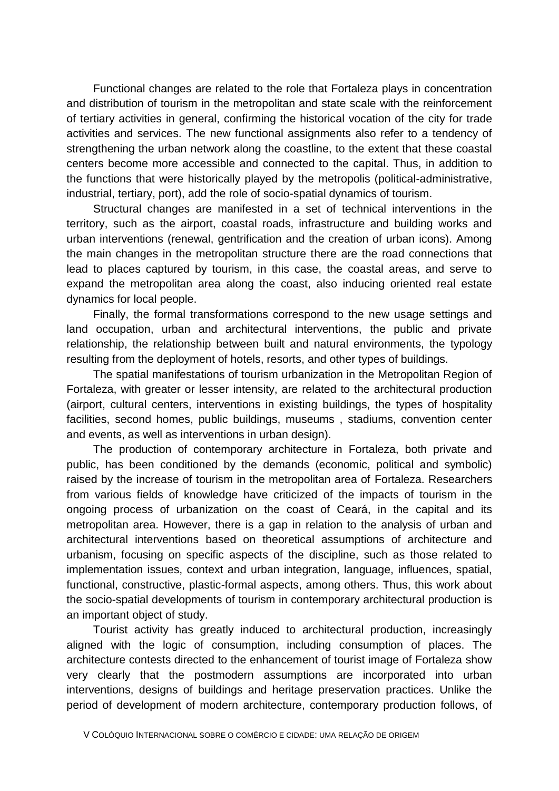Functional changes are related to the role that Fortaleza plays in concentration and distribution of tourism in the metropolitan and state scale with the reinforcement of tertiary activities in general, confirming the historical vocation of the city for trade activities and services. The new functional assignments also refer to a tendency of strengthening the urban network along the coastline, to the extent that these coastal centers become more accessible and connected to the capital. Thus, in addition to the functions that were historically played by the metropolis (political-administrative, industrial, tertiary, port), add the role of socio-spatial dynamics of tourism.

Structural changes are manifested in a set of technical interventions in the territory, such as the airport, coastal roads, infrastructure and building works and urban interventions (renewal, gentrification and the creation of urban icons). Among the main changes in the metropolitan structure there are the road connections that lead to places captured by tourism, in this case, the coastal areas, and serve to expand the metropolitan area along the coast, also inducing oriented real estate dynamics for local people.

Finally, the formal transformations correspond to the new usage settings and land occupation, urban and architectural interventions, the public and private relationship, the relationship between built and natural environments, the typology resulting from the deployment of hotels, resorts, and other types of buildings.

The spatial manifestations of tourism urbanization in the Metropolitan Region of Fortaleza, with greater or lesser intensity, are related to the architectural production (airport, cultural centers, interventions in existing buildings, the types of hospitality facilities, second homes, public buildings, museums , stadiums, convention center and events, as well as interventions in urban design).

The production of contemporary architecture in Fortaleza, both private and public, has been conditioned by the demands (economic, political and symbolic) raised by the increase of tourism in the metropolitan area of Fortaleza. Researchers from various fields of knowledge have criticized of the impacts of tourism in the ongoing process of urbanization on the coast of Ceará, in the capital and its metropolitan area. However, there is a gap in relation to the analysis of urban and architectural interventions based on theoretical assumptions of architecture and urbanism, focusing on specific aspects of the discipline, such as those related to implementation issues, context and urban integration, language, influences, spatial, functional, constructive, plastic-formal aspects, among others. Thus, this work about the socio-spatial developments of tourism in contemporary architectural production is an important object of study.

Tourist activity has greatly induced to architectural production, increasingly aligned with the logic of consumption, including consumption of places. The architecture contests directed to the enhancement of tourist image of Fortaleza show very clearly that the postmodern assumptions are incorporated into urban interventions, designs of buildings and heritage preservation practices. Unlike the period of development of modern architecture, contemporary production follows, of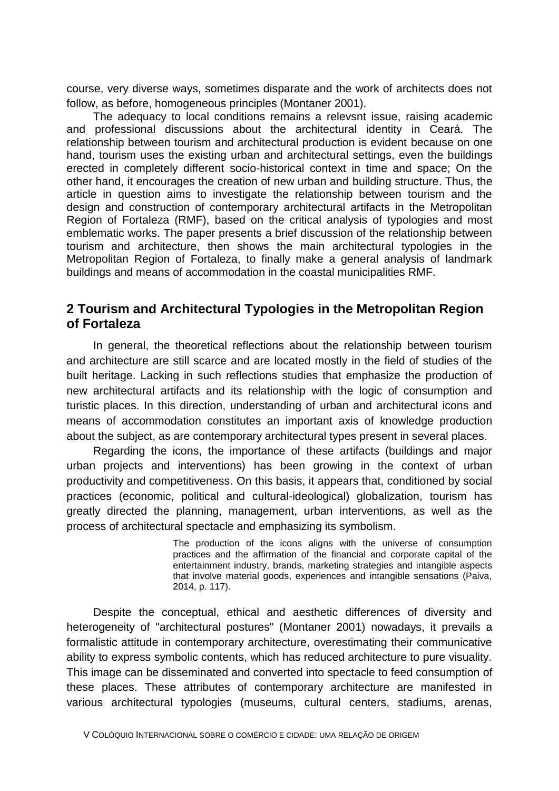course, very diverse ways, sometimes disparate and the work of architects does not follow, as before, homogeneous principles (Montaner 2001).

The adequacy to local conditions remains a relevsnt issue, raising academic and professional discussions about the architectural identity in Ceará. The relationship between tourism and architectural production is evident because on one hand, tourism uses the existing urban and architectural settings, even the buildings erected in completely different socio-historical context in time and space; On the other hand, it encourages the creation of new urban and building structure. Thus, the article in question aims to investigate the relationship between tourism and the design and construction of contemporary architectural artifacts in the Metropolitan Region of Fortaleza (RMF), based on the critical analysis of typologies and most emblematic works. The paper presents a brief discussion of the relationship between tourism and architecture, then shows the main architectural typologies in the Metropolitan Region of Fortaleza, to finally make a general analysis of landmark buildings and means of accommodation in the coastal municipalities RMF.

## **2 Tourism and Architectural Typologies in the Metropolitan Region of Fortaleza**

In general, the theoretical reflections about the relationship between tourism and architecture are still scarce and are located mostly in the field of studies of the built heritage. Lacking in such reflections studies that emphasize the production of new architectural artifacts and its relationship with the logic of consumption and turistic places. In this direction, understanding of urban and architectural icons and means of accommodation constitutes an important axis of knowledge production about the subject, as are contemporary architectural types present in several places.

Regarding the icons, the importance of these artifacts (buildings and major urban projects and interventions) has been growing in the context of urban productivity and competitiveness. On this basis, it appears that, conditioned by social practices (economic, political and cultural-ideological) globalization, tourism has greatly directed the planning, management, urban interventions, as well as the process of architectural spectacle and emphasizing its symbolism.

> The production of the icons aligns with the universe of consumption practices and the affirmation of the financial and corporate capital of the entertainment industry, brands, marketing strategies and intangible aspects that involve material goods, experiences and intangible sensations (Paiva, 2014, p. 117).

Despite the conceptual, ethical and aesthetic differences of diversity and heterogeneity of "architectural postures" (Montaner 2001) nowadays, it prevails a formalistic attitude in contemporary architecture, overestimating their communicative ability to express symbolic contents, which has reduced architecture to pure visuality. This image can be disseminated and converted into spectacle to feed consumption of these places. These attributes of contemporary architecture are manifested in various architectural typologies (museums, cultural centers, stadiums, arenas,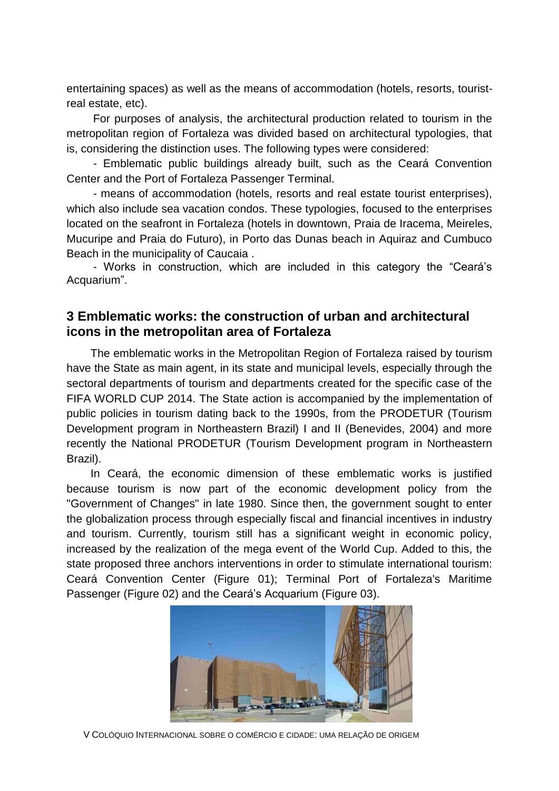entertaining spaces) as well as the means of accommodation (hotels, resorts, touristreal estate, etc).

For purposes of analysis, the architectural production related to tourism in the metropolitan region of Fortaleza was divided based on architectural typologies, that is, considering the distinction uses. The following types were considered:

- Emblematic public buildings already built, such as the Ceará Convention Center and the Port of Fortaleza Passenger Terminal.

- means of accommodation (hotels, resorts and real estate tourist enterprises), which also include sea vacation condos. These typologies, focused to the enterprises located on the seafront in Fortaleza (hotels in downtown, Praia de Iracema, Meireles, Mucuripe and Praia do Futuro), in Porto das Dunas beach in Aquiraz and Cumbuco Beach in the municipality of Caucaia .

- Works in construction, which are included in this category the "Ceará's Acquarium".

## **3 Emblematic works: the construction of urban and architectural icons in the metropolitan area of Fortaleza**

The emblematic works in the Metropolitan Region of Fortaleza raised by tourism have the State as main agent, in its state and municipal levels, especially through the sectoral departments of tourism and departments created for the specific case of the FIFA WORLD CUP 2014. The State action is accompanied by the implementation of public policies in tourism dating back to the 1990s, from the PRODETUR (Tourism Development program in Northeastern Brazil) I and II (Benevides, 2004) and more recently the National PRODETUR (Tourism Development program in Northeastern Brazil).

In Ceará, the economic dimension of these emblematic works is justified because tourism is now part of the economic development policy from the "Government of Changes" in late 1980. Since then, the government sought to enter the globalization process through especially fiscal and financial incentives in industry and tourism. Currently, tourism still has a significant weight in economic policy, increased by the realization of the mega event of the World Cup. Added to this, the state proposed three anchors interventions in order to stimulate international tourism: Ceará Convention Center (Figure 01); Terminal Port of Fortaleza's Maritime Passenger (Figure 02) and the Ceará's Acquarium (Figure 03).



V COLÓQUIO INTERNACIONAL SOBRE O COMÉRCIO E CIDADE: UMA RELAÇÃO DE ORIGEM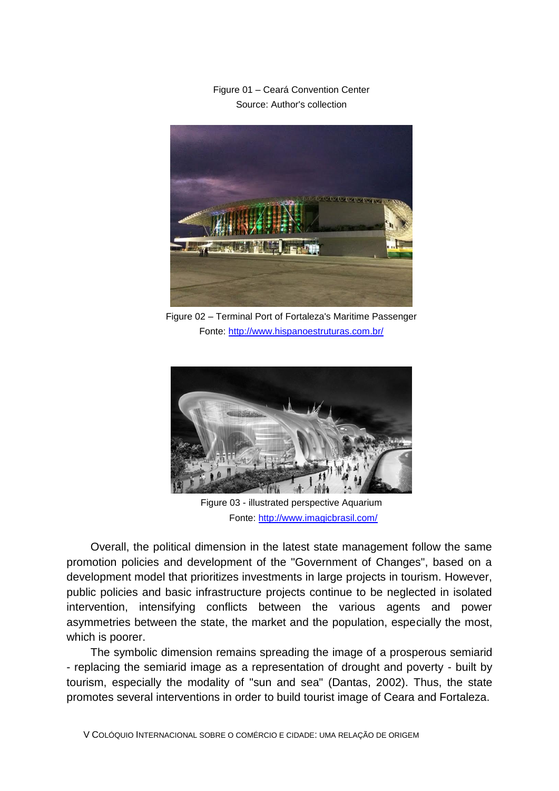Figure 01 – Ceará Convention Center Source: Author's collection



Figure 02 – Terminal Port of Fortaleza's Maritime Passenger Fonte:<http://www.hispanoestruturas.com.br/>



Figure 03 - illustrated perspective Aquarium Fonte:<http://www.imagicbrasil.com/>

Overall, the political dimension in the latest state management follow the same promotion policies and development of the "Government of Changes", based on a development model that prioritizes investments in large projects in tourism. However, public policies and basic infrastructure projects continue to be neglected in isolated intervention, intensifying conflicts between the various agents and power asymmetries between the state, the market and the population, especially the most, which is poorer.

The symbolic dimension remains spreading the image of a prosperous semiarid - replacing the semiarid image as a representation of drought and poverty - built by tourism, especially the modality of "sun and sea" (Dantas, 2002). Thus, the state promotes several interventions in order to build tourist image of Ceara and Fortaleza.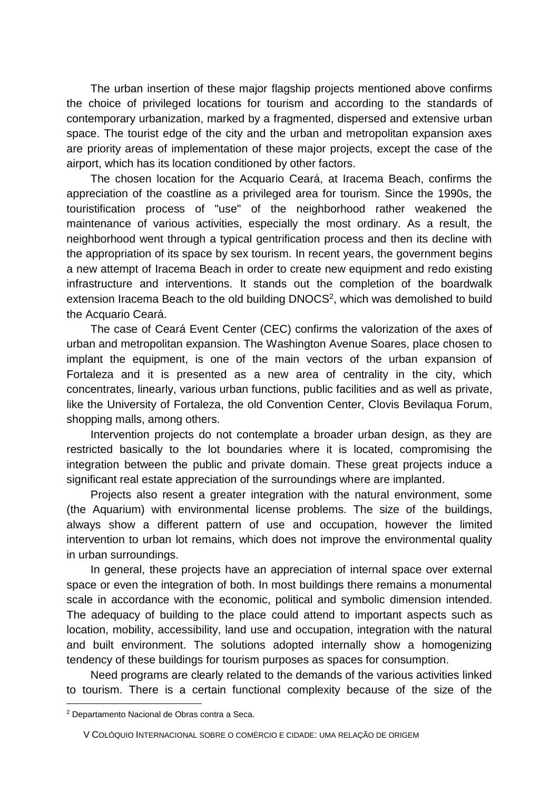The urban insertion of these major flagship projects mentioned above confirms the choice of privileged locations for tourism and according to the standards of contemporary urbanization, marked by a fragmented, dispersed and extensive urban space. The tourist edge of the city and the urban and metropolitan expansion axes are priority areas of implementation of these major projects, except the case of the airport, which has its location conditioned by other factors.

The chosen location for the Acquario Ceará, at Iracema Beach, confirms the appreciation of the coastline as a privileged area for tourism. Since the 1990s, the touristification process of "use" of the neighborhood rather weakened the maintenance of various activities, especially the most ordinary. As a result, the neighborhood went through a typical gentrification process and then its decline with the appropriation of its space by sex tourism. In recent years, the government begins a new attempt of Iracema Beach in order to create new equipment and redo existing infrastructure and interventions. It stands out the completion of the boardwalk extension Iracema Beach to the old building DNOCS<sup>2</sup>, which was demolished to build the Acquario Ceará.

The case of Ceará Event Center (CEC) confirms the valorization of the axes of urban and metropolitan expansion. The Washington Avenue Soares, place chosen to implant the equipment, is one of the main vectors of the urban expansion of Fortaleza and it is presented as a new area of centrality in the city, which concentrates, linearly, various urban functions, public facilities and as well as private, like the University of Fortaleza, the old Convention Center, Clovis Bevilaqua Forum, shopping malls, among others.

Intervention projects do not contemplate a broader urban design, as they are restricted basically to the lot boundaries where it is located, compromising the integration between the public and private domain. These great projects induce a significant real estate appreciation of the surroundings where are implanted.

Projects also resent a greater integration with the natural environment, some (the Aquarium) with environmental license problems. The size of the buildings, always show a different pattern of use and occupation, however the limited intervention to urban lot remains, which does not improve the environmental quality in urban surroundings.

In general, these projects have an appreciation of internal space over external space or even the integration of both. In most buildings there remains a monumental scale in accordance with the economic, political and symbolic dimension intended. The adequacy of building to the place could attend to important aspects such as location, mobility, accessibility, land use and occupation, integration with the natural and built environment. The solutions adopted internally show a homogenizing tendency of these buildings for tourism purposes as spaces for consumption.

Need programs are clearly related to the demands of the various activities linked to tourism. There is a certain functional complexity because of the size of the  $\overline{a}$ 

<sup>2</sup> Departamento Nacional de Obras contra a Seca.

V COLÓQUIO INTERNACIONAL SOBRE O COMÉRCIO E CIDADE: UMA RELAÇÃO DE ORIGEM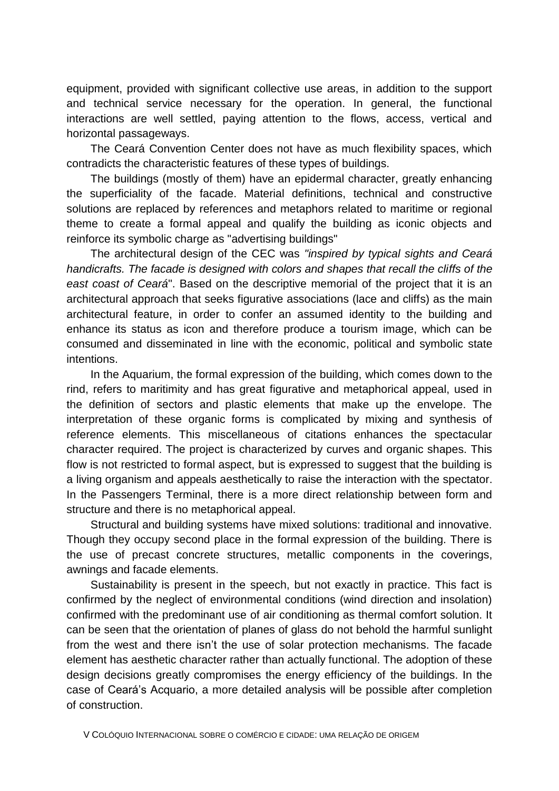equipment, provided with significant collective use areas, in addition to the support and technical service necessary for the operation. In general, the functional interactions are well settled, paying attention to the flows, access, vertical and horizontal passageways.

The Ceará Convention Center does not have as much flexibility spaces, which contradicts the characteristic features of these types of buildings.

The buildings (mostly of them) have an epidermal character, greatly enhancing the superficiality of the facade. Material definitions, technical and constructive solutions are replaced by references and metaphors related to maritime or regional theme to create a formal appeal and qualify the building as iconic objects and reinforce its symbolic charge as "advertising buildings"

The architectural design of the CEC was *"inspired by typical sights and Ceará handicrafts. The facade is designed with colors and shapes that recall the cliffs of the east coast of Ceará*". Based on the descriptive memorial of the project that it is an architectural approach that seeks figurative associations (lace and cliffs) as the main architectural feature, in order to confer an assumed identity to the building and enhance its status as icon and therefore produce a tourism image, which can be consumed and disseminated in line with the economic, political and symbolic state intentions.

In the Aquarium, the formal expression of the building, which comes down to the rind, refers to maritimity and has great figurative and metaphorical appeal, used in the definition of sectors and plastic elements that make up the envelope. The interpretation of these organic forms is complicated by mixing and synthesis of reference elements. This miscellaneous of citations enhances the spectacular character required. The project is characterized by curves and organic shapes. This flow is not restricted to formal aspect, but is expressed to suggest that the building is a living organism and appeals aesthetically to raise the interaction with the spectator. In the Passengers Terminal, there is a more direct relationship between form and structure and there is no metaphorical appeal.

Structural and building systems have mixed solutions: traditional and innovative. Though they occupy second place in the formal expression of the building. There is the use of precast concrete structures, metallic components in the coverings, awnings and facade elements.

Sustainability is present in the speech, but not exactly in practice. This fact is confirmed by the neglect of environmental conditions (wind direction and insolation) confirmed with the predominant use of air conditioning as thermal comfort solution. It can be seen that the orientation of planes of glass do not behold the harmful sunlight from the west and there isn't the use of solar protection mechanisms. The facade element has aesthetic character rather than actually functional. The adoption of these design decisions greatly compromises the energy efficiency of the buildings. In the case of Ceará's Acquario, a more detailed analysis will be possible after completion of construction.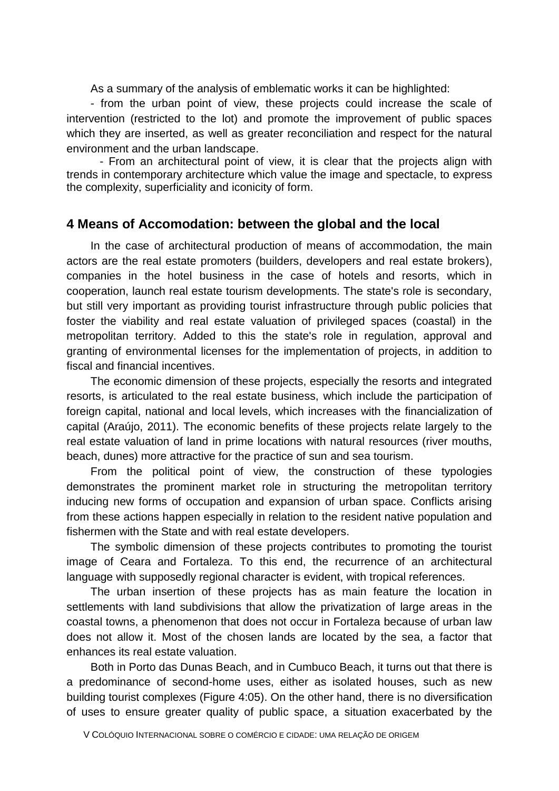As a summary of the analysis of emblematic works it can be highlighted:

- from the urban point of view, these projects could increase the scale of intervention (restricted to the lot) and promote the improvement of public spaces which they are inserted, as well as greater reconciliation and respect for the natural environment and the urban landscape.

- From an architectural point of view, it is clear that the projects align with trends in contemporary architecture which value the image and spectacle, to express the complexity, superficiality and iconicity of form.

## **4 Means of Accomodation: between the global and the local**

In the case of architectural production of means of accommodation, the main actors are the real estate promoters (builders, developers and real estate brokers), companies in the hotel business in the case of hotels and resorts, which in cooperation, launch real estate tourism developments. The state's role is secondary, but still very important as providing tourist infrastructure through public policies that foster the viability and real estate valuation of privileged spaces (coastal) in the metropolitan territory. Added to this the state's role in regulation, approval and granting of environmental licenses for the implementation of projects, in addition to fiscal and financial incentives.

The economic dimension of these projects, especially the resorts and integrated resorts, is articulated to the real estate business, which include the participation of foreign capital, national and local levels, which increases with the financialization of capital (Araújo, 2011). The economic benefits of these projects relate largely to the real estate valuation of land in prime locations with natural resources (river mouths, beach, dunes) more attractive for the practice of sun and sea tourism.

From the political point of view, the construction of these typologies demonstrates the prominent market role in structuring the metropolitan territory inducing new forms of occupation and expansion of urban space. Conflicts arising from these actions happen especially in relation to the resident native population and fishermen with the State and with real estate developers.

The symbolic dimension of these projects contributes to promoting the tourist image of Ceara and Fortaleza. To this end, the recurrence of an architectural language with supposedly regional character is evident, with tropical references.

The urban insertion of these projects has as main feature the location in settlements with land subdivisions that allow the privatization of large areas in the coastal towns, a phenomenon that does not occur in Fortaleza because of urban law does not allow it. Most of the chosen lands are located by the sea, a factor that enhances its real estate valuation.

Both in Porto das Dunas Beach, and in Cumbuco Beach, it turns out that there is a predominance of second-home uses, either as isolated houses, such as new building tourist complexes (Figure 4:05). On the other hand, there is no diversification of uses to ensure greater quality of public space, a situation exacerbated by the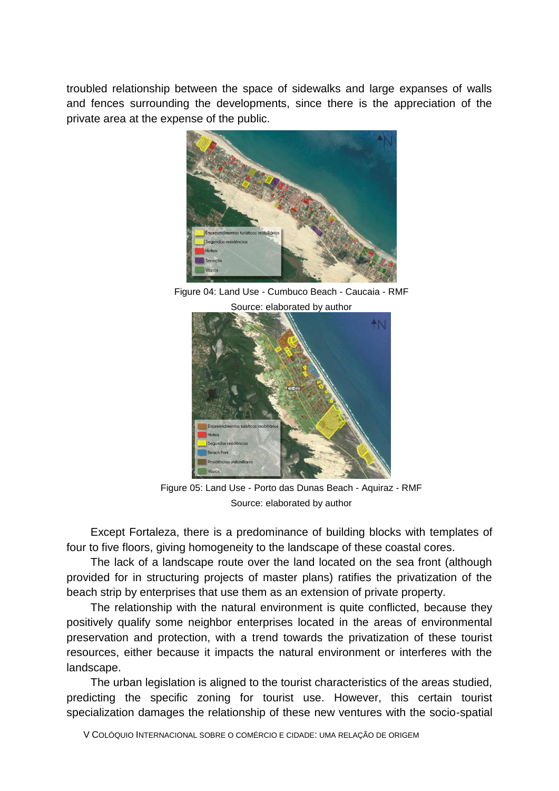troubled relationship between the space of sidewalks and large expanses of walls and fences surrounding the developments, since there is the appreciation of the private area at the expense of the public.



Figure 04: Land Use - Cumbuco Beach - Caucaia - RMF Source: elaborated by author



Figure 05: Land Use - Porto das Dunas Beach - Aquiraz - RMF Source: elaborated by author

Except Fortaleza, there is a predominance of building blocks with templates of four to five floors, giving homogeneity to the landscape of these coastal cores.

The lack of a landscape route over the land located on the sea front (although provided for in structuring projects of master plans) ratifies the privatization of the beach strip by enterprises that use them as an extension of private property.

The relationship with the natural environment is quite conflicted, because they positively qualify some neighbor enterprises located in the areas of environmental preservation and protection, with a trend towards the privatization of these tourist resources, either because it impacts the natural environment or interferes with the landscape.

The urban legislation is aligned to the tourist characteristics of the areas studied, predicting the specific zoning for tourist use. However, this certain tourist specialization damages the relationship of these new ventures with the socio-spatial

V COLÓQUIO INTERNACIONAL SOBRE O COMÉRCIO E CIDADE: UMA RELAÇÃO DE ORIGEM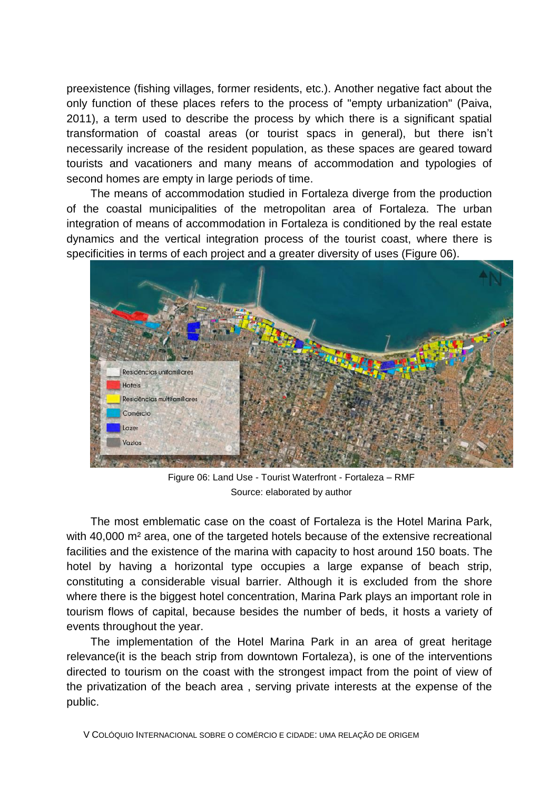preexistence (fishing villages, former residents, etc.). Another negative fact about the only function of these places refers to the process of "empty urbanization" (Paiva, 2011), a term used to describe the process by which there is a significant spatial transformation of coastal areas (or tourist spacs in general), but there isn't necessarily increase of the resident population, as these spaces are geared toward tourists and vacationers and many means of accommodation and typologies of second homes are empty in large periods of time.

The means of accommodation studied in Fortaleza diverge from the production of the coastal municipalities of the metropolitan area of Fortaleza. The urban integration of means of accommodation in Fortaleza is conditioned by the real estate dynamics and the vertical integration process of the tourist coast, where there is specificities in terms of each project and a greater diversity of uses (Figure 06).



Figure 06: Land Use - Tourist Waterfront - Fortaleza – RMF Source: elaborated by author

The most emblematic case on the coast of Fortaleza is the Hotel Marina Park, with 40,000 m<sup>2</sup> area, one of the targeted hotels because of the extensive recreational facilities and the existence of the marina with capacity to host around 150 boats. The hotel by having a horizontal type occupies a large expanse of beach strip, constituting a considerable visual barrier. Although it is excluded from the shore where there is the biggest hotel concentration, Marina Park plays an important role in tourism flows of capital, because besides the number of beds, it hosts a variety of events throughout the year.

The implementation of the Hotel Marina Park in an area of great heritage relevance(it is the beach strip from downtown Fortaleza), is one of the interventions directed to tourism on the coast with the strongest impact from the point of view of the privatization of the beach area , serving private interests at the expense of the public.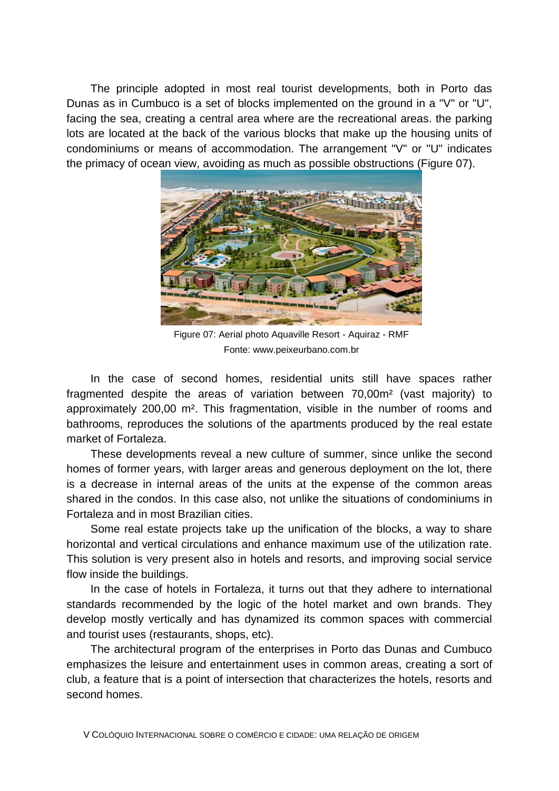The principle adopted in most real tourist developments, both in Porto das Dunas as in Cumbuco is a set of blocks implemented on the ground in a "V" or "U", facing the sea, creating a central area where are the recreational areas. the parking lots are located at the back of the various blocks that make up the housing units of condominiums or means of accommodation. The arrangement "V" or "U" indicates the primacy of ocean view, avoiding as much as possible obstructions (Figure 07).



Figure 07: Aerial photo Aquaville Resort - Aquiraz - RMF Fonte: www.peixeurbano.com.br

In the case of second homes, residential units still have spaces rather fragmented despite the areas of variation between 70,00m² (vast majority) to approximately 200,00 m². This fragmentation, visible in the number of rooms and bathrooms, reproduces the solutions of the apartments produced by the real estate market of Fortaleza.

These developments reveal a new culture of summer, since unlike the second homes of former years, with larger areas and generous deployment on the lot, there is a decrease in internal areas of the units at the expense of the common areas shared in the condos. In this case also, not unlike the situations of condominiums in Fortaleza and in most Brazilian cities.

Some real estate projects take up the unification of the blocks, a way to share horizontal and vertical circulations and enhance maximum use of the utilization rate. This solution is very present also in hotels and resorts, and improving social service flow inside the buildings.

In the case of hotels in Fortaleza, it turns out that they adhere to international standards recommended by the logic of the hotel market and own brands. They develop mostly vertically and has dynamized its common spaces with commercial and tourist uses (restaurants, shops, etc).

The architectural program of the enterprises in Porto das Dunas and Cumbuco emphasizes the leisure and entertainment uses in common areas, creating a sort of club, a feature that is a point of intersection that characterizes the hotels, resorts and second homes.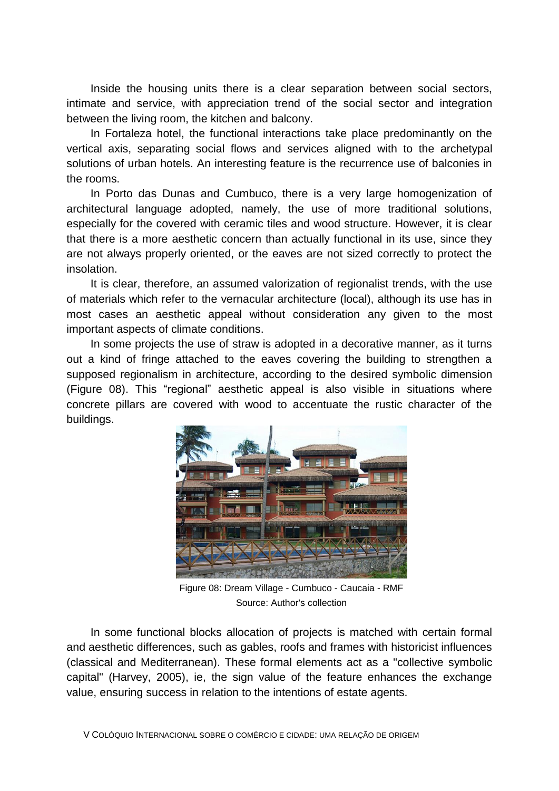Inside the housing units there is a clear separation between social sectors, intimate and service, with appreciation trend of the social sector and integration between the living room, the kitchen and balcony.

In Fortaleza hotel, the functional interactions take place predominantly on the vertical axis, separating social flows and services aligned with to the archetypal solutions of urban hotels. An interesting feature is the recurrence use of balconies in the rooms.

In Porto das Dunas and Cumbuco, there is a very large homogenization of architectural language adopted, namely, the use of more traditional solutions, especially for the covered with ceramic tiles and wood structure. However, it is clear that there is a more aesthetic concern than actually functional in its use, since they are not always properly oriented, or the eaves are not sized correctly to protect the insolation.

It is clear, therefore, an assumed valorization of regionalist trends, with the use of materials which refer to the vernacular architecture (local), although its use has in most cases an aesthetic appeal without consideration any given to the most important aspects of climate conditions.

In some projects the use of straw is adopted in a decorative manner, as it turns out a kind of fringe attached to the eaves covering the building to strengthen a supposed regionalism in architecture, according to the desired symbolic dimension (Figure 08). This "regional" aesthetic appeal is also visible in situations where concrete pillars are covered with wood to accentuate the rustic character of the buildings.



Figure 08: Dream Village - Cumbuco - Caucaia - RMF Source: Author's collection

In some functional blocks allocation of projects is matched with certain formal and aesthetic differences, such as gables, roofs and frames with historicist influences (classical and Mediterranean). These formal elements act as a "collective symbolic capital" (Harvey, 2005), ie, the sign value of the feature enhances the exchange value, ensuring success in relation to the intentions of estate agents.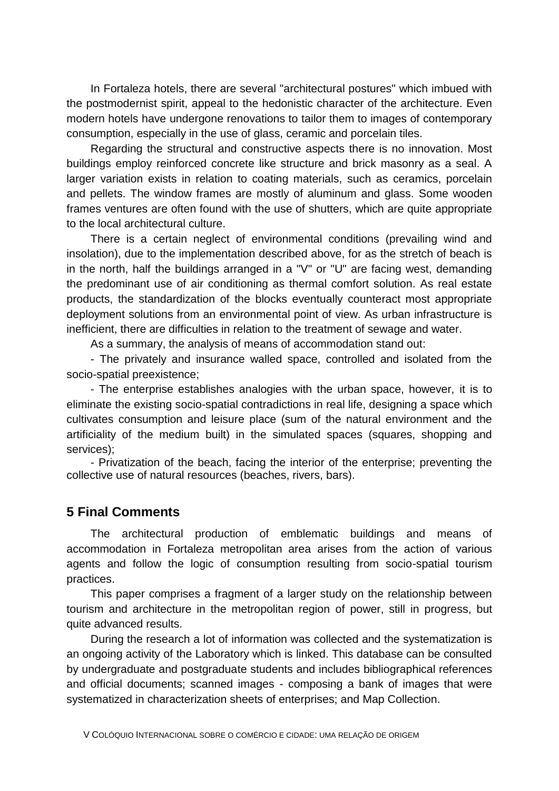In Fortaleza hotels, there are several "architectural postures" which imbued with the postmodernist spirit, appeal to the hedonistic character of the architecture. Even modern hotels have undergone renovations to tailor them to images of contemporary consumption, especially in the use of glass, ceramic and porcelain tiles.

Regarding the structural and constructive aspects there is no innovation. Most buildings employ reinforced concrete like structure and brick masonry as a seal. A larger variation exists in relation to coating materials, such as ceramics, porcelain and pellets. The window frames are mostly of aluminum and glass. Some wooden frames ventures are often found with the use of shutters, which are quite appropriate to the local architectural culture.

There is a certain neglect of environmental conditions (prevailing wind and insolation), due to the implementation described above, for as the stretch of beach is in the north, half the buildings arranged in a "V" or "U" are facing west, demanding the predominant use of air conditioning as thermal comfort solution. As real estate products, the standardization of the blocks eventually counteract most appropriate deployment solutions from an environmental point of view. As urban infrastructure is inefficient, there are difficulties in relation to the treatment of sewage and water.

As a summary, the analysis of means of accommodation stand out:

- The privately and insurance walled space, controlled and isolated from the socio-spatial preexistence;

- The enterprise establishes analogies with the urban space, however, it is to eliminate the existing socio-spatial contradictions in real life, designing a space which cultivates consumption and leisure place (sum of the natural environment and the artificiality of the medium built) in the simulated spaces (squares, shopping and services);

- Privatization of the beach, facing the interior of the enterprise; preventing the collective use of natural resources (beaches, rivers, bars).

## **5 Final Comments**

The architectural production of emblematic buildings and means of accommodation in Fortaleza metropolitan area arises from the action of various agents and follow the logic of consumption resulting from socio-spatial tourism practices.

This paper comprises a fragment of a larger study on the relationship between tourism and architecture in the metropolitan region of power, still in progress, but quite advanced results.

During the research a lot of information was collected and the systematization is an ongoing activity of the Laboratory which is linked. This database can be consulted by undergraduate and postgraduate students and includes bibliographical references and official documents; scanned images - composing a bank of images that were systematized in characterization sheets of enterprises; and Map Collection.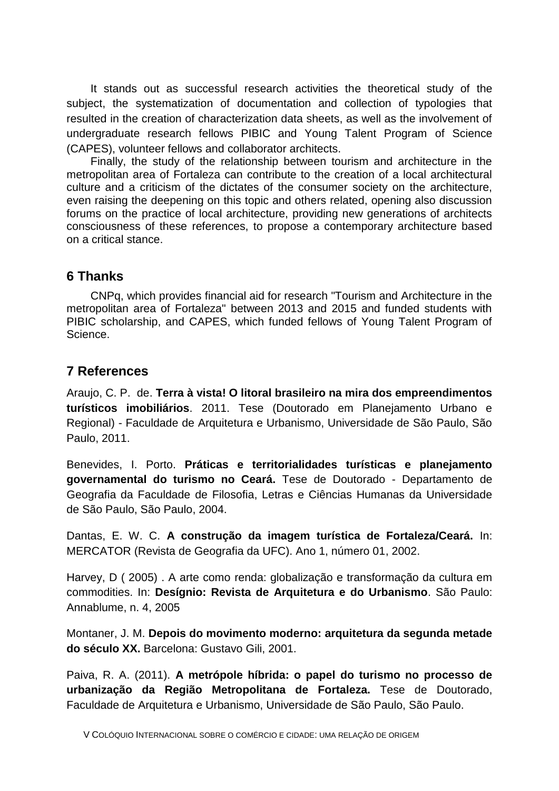It stands out as successful research activities the theoretical study of the subject, the systematization of documentation and collection of typologies that resulted in the creation of characterization data sheets, as well as the involvement of undergraduate research fellows PIBIC and Young Talent Program of Science (CAPES), volunteer fellows and collaborator architects.

Finally, the study of the relationship between tourism and architecture in the metropolitan area of Fortaleza can contribute to the creation of a local architectural culture and a criticism of the dictates of the consumer society on the architecture, even raising the deepening on this topic and others related, opening also discussion forums on the practice of local architecture, providing new generations of architects consciousness of these references, to propose a contemporary architecture based on a critical stance.

# **6 Thanks**

CNPq, which provides financial aid for research "Tourism and Architecture in the metropolitan area of Fortaleza" between 2013 and 2015 and funded students with PIBIC scholarship, and CAPES, which funded fellows of Young Talent Program of Science.

# **7 References**

Araujo, C. P. de. **Terra à vista! O litoral brasileiro na mira dos empreendimentos turísticos imobiliários**. 2011. Tese (Doutorado em Planejamento Urbano e Regional) - Faculdade de Arquitetura e Urbanismo, Universidade de São Paulo, São Paulo, 2011.

Benevides, I. Porto. **Práticas e territorialidades turísticas e planejamento governamental do turismo no Ceará.** Tese de Doutorado - Departamento de Geografia da Faculdade de Filosofia, Letras e Ciências Humanas da Universidade de São Paulo, São Paulo, 2004.

Dantas, E. W. C. **A construção da imagem turística de Fortaleza/Ceará.** In: MERCATOR (Revista de Geografia da UFC). Ano 1, número 01, 2002.

Harvey, D ( 2005) . A arte como renda: globalização e transformação da cultura em commodities. In: **Desígnio: Revista de Arquitetura e do Urbanismo**. São Paulo: Annablume, n. 4, 2005

Montaner, J. M. **Depois do movimento moderno: arquitetura da segunda metade do século XX.** Barcelona: Gustavo Gili, 2001.

Paiva, R. A. (2011). **A metrópole híbrida: o papel do turismo no processo de urbanização da Região Metropolitana de Fortaleza.** Tese de Doutorado, Faculdade de Arquitetura e Urbanismo, Universidade de São Paulo, São Paulo.